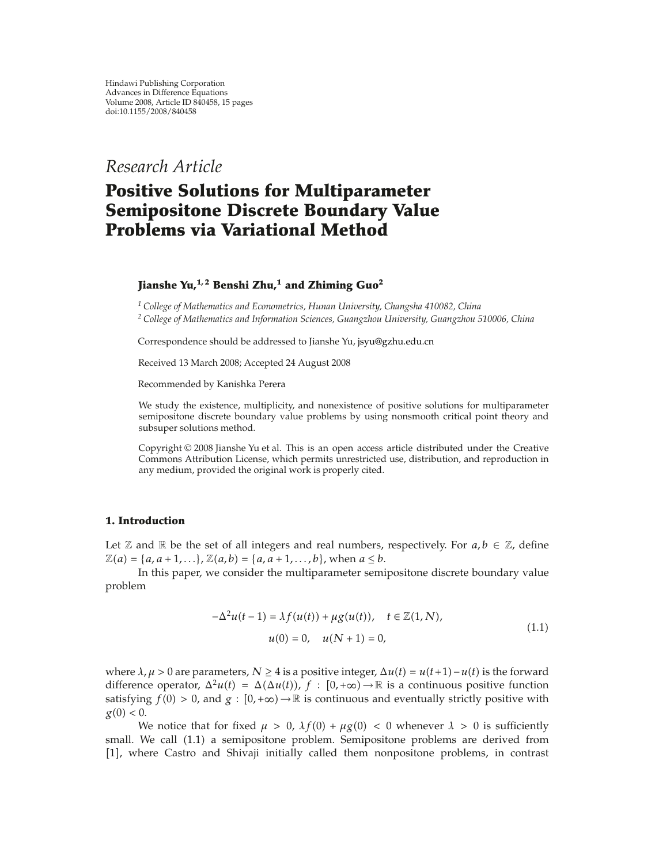*Research Article*

# **Positive Solutions for Multiparameter Semipositone Discrete Boundary Value Problems via Variational Method**

# **Jianshe Yu,1, 2 Benshi Zhu,1 and Zhiming Guo2**

*<sup>1</sup> College of Mathematics and Econometrics, Hunan University, Changsha 410082, China <sup>2</sup> College of Mathematics and Information Sciences, Guangzhou University, Guangzhou 510006, China*

Correspondence should be addressed to Jianshe Yu, jsyu@gzhu.edu.cn

Received 13 March 2008; Accepted 24 August 2008

Recommended by Kanishka Perera

We study the existence, multiplicity, and nonexistence of positive solutions for multiparameter semipositone discrete boundary value problems by using nonsmooth critical point theory and subsuper solutions method.

Copyright  $©$  2008 Jianshe Yu et al. This is an open access article distributed under the Creative Commons Attribution License, which permits unrestricted use, distribution, and reproduction in any medium, provided the original work is properly cited.

### **1. Introduction**

Let  $\mathbb Z$  and  $\mathbb R$  be the set of all integers and real numbers, respectively. For  $a, b \in \mathbb Z$ , define  $\mathbb{Z}(a) = \{a, a+1,...\}, \mathbb{Z}(a,b) = \{a, a+1,...,b\}, \text{ when } a \leq b.$ 

In this paper, we consider the multiparameter semipositone discrete boundary value problem

$$
-\Delta^{2}u(t-1) = \lambda f(u(t)) + \mu g(u(t)), \quad t \in \mathbb{Z}(1, N),
$$
  

$$
u(0) = 0, \quad u(N+1) = 0,
$$
 (1.1)

where  $\lambda, \mu > 0$  are parameters,  $N \ge 4$  is a positive integer,  $\Delta u(t) = u(t+1) - u(t)$  is the forward difference operator,  $\Delta^2 u(t) = \Delta(\Delta u(t))$ ,  $f : [0, +\infty) \to \mathbb{R}$  is a continuous positive function satisfying  $f(0) > 0$ , and  $g : [0, +\infty) \to \mathbb{R}$  is continuous and eventually strictly positive with  $g(0) < 0$ .

We notice that for fixed  $\mu > 0$ ,  $\lambda f(0) + \mu g(0) < 0$  whenever  $\lambda > 0$  is sufficiently small. We call  $(1.1)$  a semipositone problem. Semipositone problems are derived from [1], where Castro and Shivaji initially called them nonpositone problems, in contrast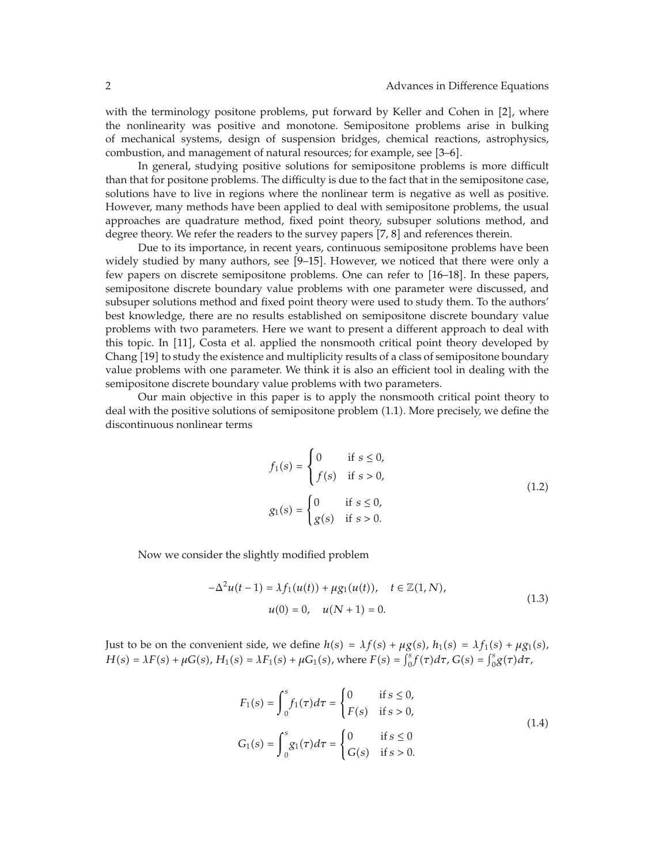with the terminology positone problems, put forward by Keller and Cohen in [2], where the nonlinearity was positive and monotone. Semipositone problems arise in bulking of mechanical systems, design of suspension bridges, chemical reactions, astrophysics, combustion, and management of natural resources; for example, see [3–6].

In general, studying positive solutions for semipositone problems is more difficult than that for positone problems. The difficulty is due to the fact that in the semipositone case, solutions have to live in regions where the nonlinear term is negative as well as positive. However, many methods have been applied to deal with semipositone problems, the usual approaches are quadrature method, fixed point theory, subsuper solutions method, and degree theory. We refer the readers to the survey papers [7, 8] and references therein.

Due to its importance, in recent years, continuous semipositone problems have been widely studied by many authors, see [9–15]. However, we noticed that there were only a few papers on discrete semipositone problems. One can refer to  $[16-18]$ . In these papers, semipositone discrete boundary value problems with one parameter were discussed, and subsuper solutions method and fixed point theory were used to study them. To the authors' best knowledge, there are no results established on semipositone discrete boundary value problems with two parameters. Here we want to present a different approach to deal with this topic. In 11 , Costa et al. applied the nonsmooth critical point theory developed by Chang 19 to study the existence and multiplicity results of a class of semipositone boundary value problems with one parameter. We think it is also an efficient tool in dealing with the semipositone discrete boundary value problems with two parameters.

Our main objective in this paper is to apply the nonsmooth critical point theory to deal with the positive solutions of semipositone problem 1.1. More precisely, we define the discontinuous nonlinear terms

$$
f_1(s) = \begin{cases} 0 & \text{if } s \le 0, \\ f(s) & \text{if } s > 0, \end{cases}
$$
  

$$
g_1(s) = \begin{cases} 0 & \text{if } s \le 0, \\ g(s) & \text{if } s > 0. \end{cases}
$$
 (1.2)

Now we consider the slightly modified problem

$$
-\Delta^{2}u(t-1) = \lambda f_{1}(u(t)) + \mu g_{1}(u(t)), \quad t \in \mathbb{Z}(1, N),
$$
  

$$
u(0) = 0, \quad u(N+1) = 0.
$$
 (1.3)

Just to be on the convenient side, we define  $h(s) = \lambda f(s) + \mu g(s)$ ,  $h_1(s) = \lambda f_1(s) + \mu g_1(s)$ ,  $H(s) = \lambda F(s) + \mu G(s)$ ,  $H_1(s) = \lambda F_1(s) + \mu G_1(s)$ , where  $F(s) = \int_0^s f(\tau) d\tau$ ,  $G(s) = \int_0^s g(\tau) d\tau$ ,

$$
F_1(s) = \int_0^s f_1(\tau) d\tau = \begin{cases} 0 & \text{if } s \le 0, \\ F(s) & \text{if } s > 0, \end{cases}
$$
  
\n
$$
G_1(s) = \int_0^s g_1(\tau) d\tau = \begin{cases} 0 & \text{if } s \le 0 \\ G(s) & \text{if } s > 0. \end{cases}
$$
 (1.4)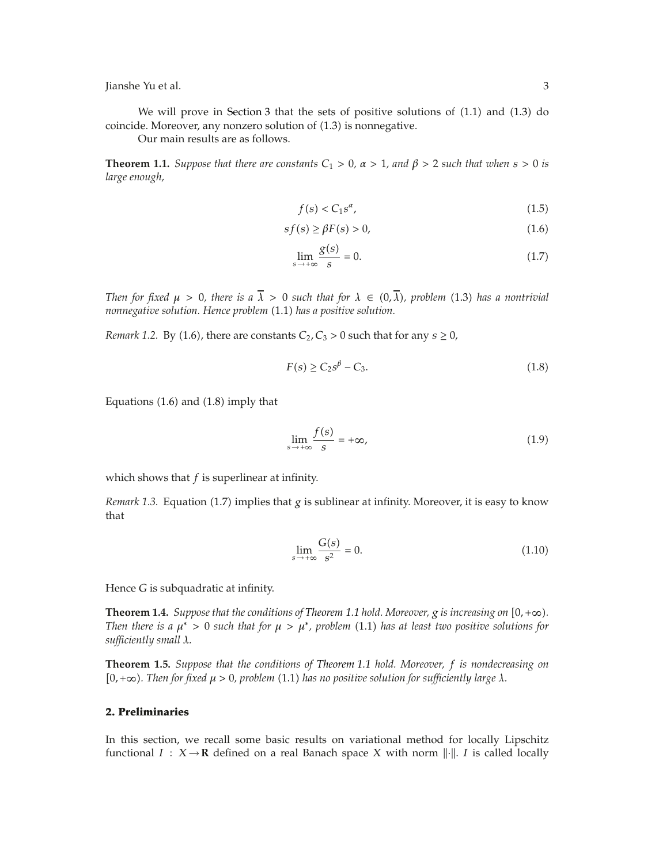We will prove in Section 3 that the sets of positive solutions of  $(1.1)$  and  $(1.3)$  do coincide. Moreover, any nonzero solution of  $(1.3)$  is nonnegative.

Our main results are as follows.

**Theorem 1.1.** *Suppose that there are constants*  $C_1 > 0$ ,  $\alpha > 1$ , and  $\beta > 2$  *such that when*  $s > 0$  *is large enough,*

$$
f(s) < C_1 s^{\alpha},\tag{1.5}
$$

$$
sf(s) \ge \beta F(s) > 0,\tag{1.6}
$$

$$
\lim_{s \to +\infty} \frac{g(s)}{s} = 0. \tag{1.7}
$$

*Then for fixed*  $\mu > 0$ *, there is a*  $\overline{\lambda} > 0$  *such that for*  $\lambda \in (0, \overline{\lambda})$ *, problem* (1.3) *has a nontrivial nonnegative solution. Hence problem* 1.1 *has a positive solution.*

*Remark 1.2.* By (1.6), there are constants  $C_2$ ,  $C_3$  > 0 such that for any  $s \ge 0$ ,

$$
F(s) \ge C_2 s^{\beta} - C_3. \tag{1.8}
$$

Equations  $(1.6)$  and  $(1.8)$  imply that

$$
\lim_{s \to +\infty} \frac{f(s)}{s} = +\infty,\tag{1.9}
$$

which shows that *f* is superlinear at infinity.

*Remark 1.3.* Equation (1.7) implies that *g* is sublinear at infinity. Moreover, it is easy to know that

$$
\lim_{s \to +\infty} \frac{G(s)}{s^2} = 0. \tag{1.10}
$$

Hence *G* is subquadratic at infinity.

**Theorem 1.4.** *Suppose that the conditions of Theorem 1.1 hold. Moreover,*  $g$  *is increasing on*  $[0, +\infty)$ *. Then there is a*  $\mu^*$  > 0 *such that for*  $\mu$  >  $\mu^*$ *, problem* (1.1) *has at least two positive solutions for sufficiently small λ.*

**Theorem 1.5.** *Suppose that the conditions of Theorem 1.1 hold. Moreover, f is nondecreasing on*  $[0, +\infty)$ . Then for fixed  $\mu > 0$ , problem (1.1) has no positive solution for sufficiently large  $\lambda$ .

## **2. Preliminaries**

In this section, we recall some basic results on variational method for locally Lipschitz functional  $I : X \rightarrow \mathbf{R}$  defined on a real Banach space *X* with norm  $\|\cdot\|$ . *I* is called locally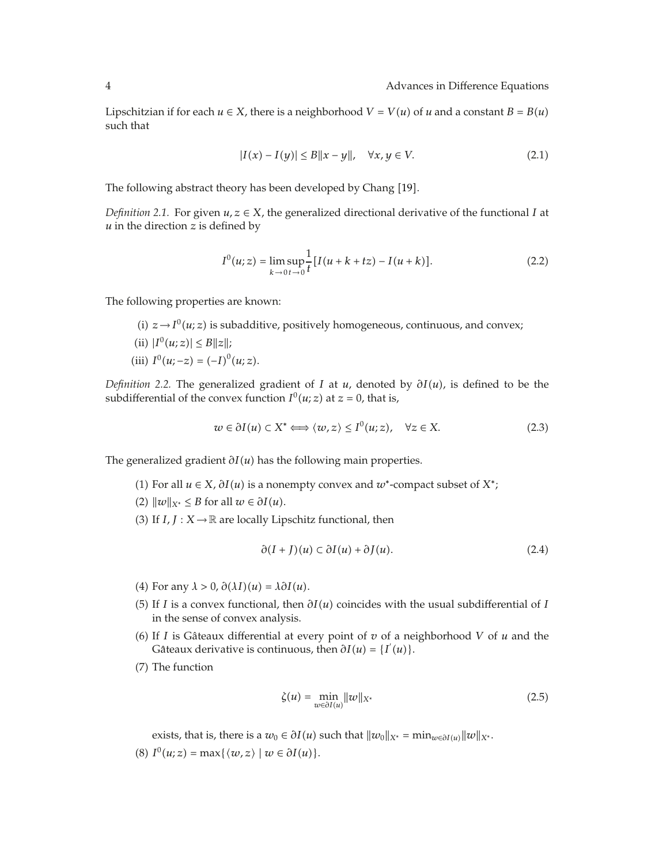Lipschitzian if for each  $u \in X$ , there is a neighborhood  $V = V(u)$  of *u* and a constant  $B = B(u)$ such that

$$
|I(x) - I(y)| \le B \|x - y\|, \quad \forall x, y \in V.
$$
 (2.1)

The following abstract theory has been developed by Chang 19 .

*Definition 2.1.* For given  $u, z \in X$ , the generalized directional derivative of the functional *I* at *u* in the direction *z* is defined by

$$
I^{0}(u; z) = \lim_{k \to 0} \sup_{t \to 0} \frac{1}{t} [I(u + k + tz) - I(u + k)].
$$
\n(2.2)

The following properties are known:

- (i)  $z \rightarrow I^0(u; z)$  is subadditive, positively homogeneous, continuous, and convex;
- $|I^0(u; z)| \leq B||z||;$
- (iii)  $I^0(u; -z) = (-I)^0(u; z)$ .

*Definition 2.2.* The generalized gradient of *I* at *u*, denoted by *∂Iu*, is defined to be the subdifferential of the convex function  $I^0(u; z)$  at  $z = 0$ , that is,

$$
w \in \partial I(u) \subset X^* \Longleftrightarrow \langle w, z \rangle \le I^0(u; z), \quad \forall z \in X. \tag{2.3}
$$

The generalized gradient  $∂I(u)$  has the following main properties.

- (1) For all *u* ∈ *X*,  $\partial I(u)$  is a nonempty convex and *w*<sup>∗</sup>-compact subset of *X*<sup>∗</sup>;
- $(2)$   $||w||_{X^*} \leq B$  for all  $w \in \partial I(u)$ .
- (3) If  $I, J: X \rightarrow \mathbb{R}$  are locally Lipschitz functional, then

$$
\partial(I+J)(u) \subset \partial I(u) + \partial J(u). \tag{2.4}
$$

- $(4)$  For any  $\lambda > 0$ ,  $\partial(\lambda I)(u) = \lambda \partial I(u)$ .
- 5 If *I* is a convex functional, then *∂Iu* coincides with the usual subdifferential of *I* in the sense of convex analysis.
- (6) If *I* is Gâteaux differential at every point of  $v$  of a neighborhood  $V$  of  $u$  and the Gâteaux derivative is continuous, then  $\partial I(u) = \{I'(u)\}.$
- (7) The function

$$
\zeta(u) = \min_{w \in \partial I(u)} \|w\|_{X^*}
$$
\n(2.5)

exists, that is, there is a  $w_0 \in \partial I(u)$  such that  $||w_0||_{X^*} = \min_{w \in \partial I(u)} ||w||_{X^*}$ .

 $I^{0}(u; z) = \max\{\langle w, z \rangle \mid w \in \partial I(u)\}.$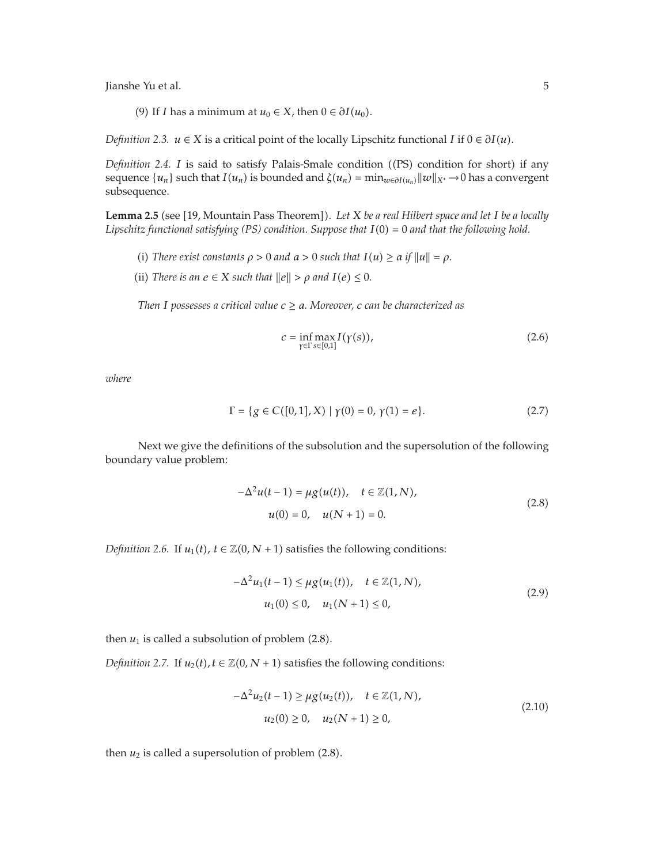(9) If *I* has a minimum at  $u_0 \in X$ , then  $0 \in \partial I(u_0)$ .

*Definition 2.3.*  $u \in X$  is a critical point of the locally Lipschitz functional *I* if  $0 \in \partial I(u)$ .

*Definition 2.4. I* is said to satisfy Palais-Smale condition ((PS) condition for short) if any sequence  $\{u_n\}$  such that  $I(u_n)$  is bounded and  $\zeta(u_n) = \min_{w \in \partial I(u_n)} ||w||_{X^*} \to 0$  has a convergent subsequence.

**Lemma 2.5** (see [19, Mountain Pass Theorem]). Let *X* be a real Hilbert space and let I be a locally *Lipschitz functional satisfying (PS) condition. Suppose that*  $I(0) = 0$  *and that the following hold.* 

- (i) *There exist constants*  $\rho > 0$  *and*  $a > 0$  *such that*  $I(u) \ge a$  *if*  $||u|| = \rho$ .
- (ii) *There is an*  $e \in X$  *such that*  $||e|| > \rho$  *and*  $I(e) \leq 0$ *.*

*Then I* possesses a critical value  $c \ge a$ *. Moreover, c can be characterized as* 

$$
c = \inf_{\gamma \in \Gamma} \max_{s \in [0,1]} I(\gamma(s)),\tag{2.6}
$$

*where*

$$
\Gamma = \{ g \in C([0,1], X) \mid \gamma(0) = 0, \gamma(1) = e \}.
$$
 (2.7)

Next we give the definitions of the subsolution and the supersolution of the following boundary value problem:

$$
-\Delta^{2}u(t-1) = \mu g(u(t)), \quad t \in \mathbb{Z}(1, N),
$$
  

$$
u(0) = 0, \quad u(N+1) = 0.
$$
 (2.8)

*Definition 2.6.* If  $u_1(t)$ ,  $t \in \mathbb{Z}(0, N + 1)$  satisfies the following conditions:

$$
-\Delta^{2}u_{1}(t-1) \leq \mu g(u_{1}(t)), \quad t \in \mathbb{Z}(1, N),
$$
  
\n
$$
u_{1}(0) \leq 0, \quad u_{1}(N+1) \leq 0,
$$
\n(2.9)

then  $u_1$  is called a subsolution of problem  $(2.8)$ .

*Definition 2.7.* If  $u_2(t)$ ,  $t \in \mathbb{Z}(0, N + 1)$  satisfies the following conditions:

$$
-\Delta^{2}u_{2}(t-1) \geq \mu g(u_{2}(t)), \quad t \in \mathbb{Z}(1, N),
$$
  
\n
$$
u_{2}(0) \geq 0, \quad u_{2}(N+1) \geq 0,
$$
\n(2.10)

then  $u_2$  is called a supersolution of problem  $(2.8)$ .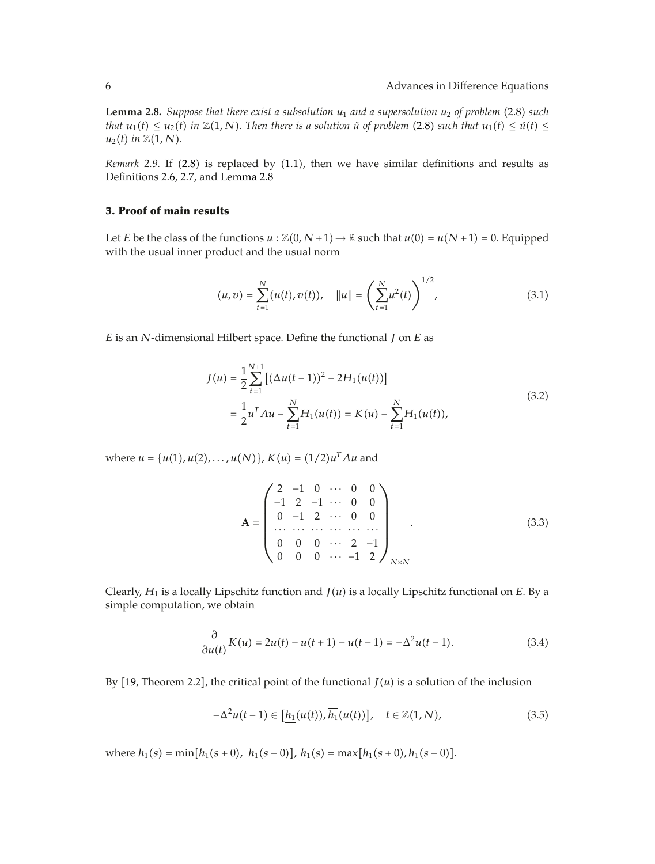**Lemma 2.8.** *Suppose that there exist a subsolution*  $u_1$  *and a supersolution*  $u_2$  *of problem* (2.8) *such that*  $u_1(t) \leq u_2(t)$  *in*  $\mathbb{Z}(1, N)$ *. Then there is a solution u*̃ *of problem* (2.8) *such that*  $u_1(t) \leq u(t) \leq$  $u_2(t)$  *in*  $\mathbb{Z}(1, N)$ *.* 

*Remark* 2.9. If  $(2.8)$  is replaced by  $(1.1)$ , then we have similar definitions and results as Definitions 2.6, 2.7, and Lemma 2.8

# **3. Proof of main results**

Let *E* be the class of the functions  $u : \mathbb{Z}(0, N+1) \to \mathbb{R}$  such that  $u(0) = u(N+1) = 0$ . Equipped with the usual inner product and the usual norm

$$
(u,v) = \sum_{t=1}^{N} (u(t), v(t)), \quad ||u|| = \left(\sum_{t=1}^{N} u^{2}(t)\right)^{1/2}, \quad (3.1)
$$

*E* is an *N*-dimensional Hilbert space. Define the functional *J* on *E* as

$$
J(u) = \frac{1}{2} \sum_{t=1}^{N+1} \left[ (\Delta u(t-1))^2 - 2H_1(u(t)) \right]
$$
  
= 
$$
\frac{1}{2} u^T A u - \sum_{t=1}^N H_1(u(t)) = K(u) - \sum_{t=1}^N H_1(u(t)),
$$
 (3.2)

where  $u = {u(1), u(2), \ldots, u(N)}$ ,  $K(u) = (1/2)u^{T}Au$  and

$$
\mathbf{A} = \begin{pmatrix} 2 & -1 & 0 & \cdots & 0 & 0 \\ -1 & 2 & -1 & \cdots & 0 & 0 \\ 0 & -1 & 2 & \cdots & 0 & 0 \\ \cdots & \cdots & \cdots & \cdots & \cdots & \cdots \\ 0 & 0 & 0 & \cdots & 2 & -1 \\ 0 & 0 & 0 & \cdots & -1 & 2 \end{pmatrix}_{N \times N}
$$
 (3.3)

Clearly,  $H_1$  is a locally Lipschitz function and  $J(u)$  is a locally Lipschitz functional on  $E$ . By a simple computation, we obtain

$$
\frac{\partial}{\partial u(t)} K(u) = 2u(t) - u(t+1) - u(t-1) = -\Delta^2 u(t-1).
$$
 (3.4)

By  $[19$ , Theorem 2.2], the critical point of the functional  $J(u)$  is a solution of the inclusion

$$
-\Delta^2 u(t-1) \in \left[\underline{h_1}(u(t)), \overline{h_1}(u(t))\right], \quad t \in \mathbb{Z}(1, N),\tag{3.5}
$$

where  $\underline{h_1}(s) = \min[h_1(s+0), h_1(s-0)], h_1(s) = \max[h_1(s+0), h_1(s-0)].$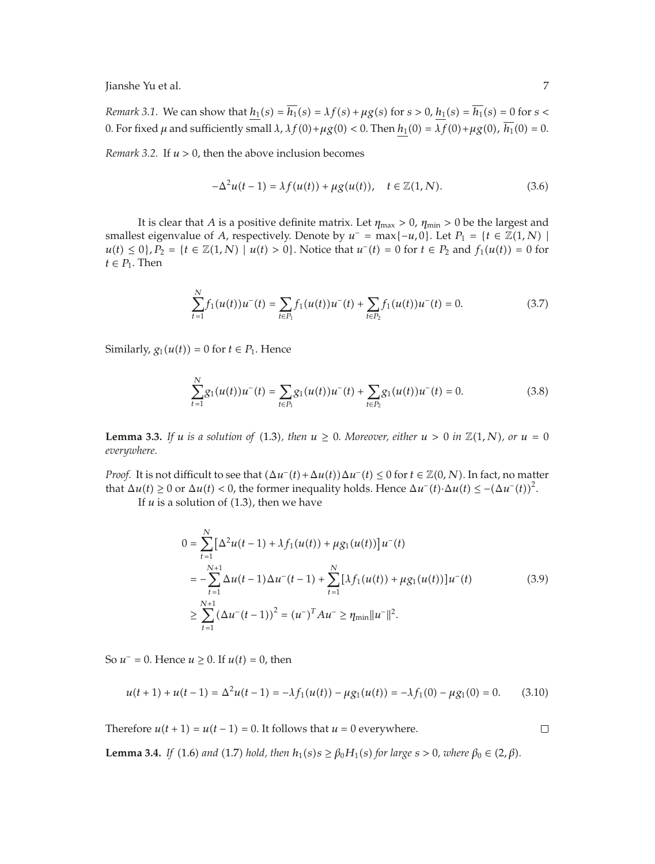*Remark 3.1.* We can show that  $h_1(s) = \overline{h_1}(s) = \lambda f(s) + \mu g(s)$  for  $s > 0$ ,  $h_1(s) = \overline{h_1}(s) = 0$  for  $s <$ 0. For fixed *μ* and sufficiently small *λ*, *λf*(0) +  $\mu$ g(0) < 0. Then *h*<sub>1</sub>(0) =  $\overline{\lambda f}$ (0) +  $\mu$ g(0),  $\overline{h_1}$ (0) = 0.

*Remark 3.2.* If  $u > 0$ , then the above inclusion becomes

$$
-\Delta^{2}u(t-1) = \lambda f(u(t)) + \mu g(u(t)), \quad t \in \mathbb{Z}(1, N).
$$
 (3.6)

It is clear that *A* is a positive definite matrix. Let  $\eta_{\text{max}} > 0$ ,  $\eta_{\text{min}} > 0$  be the largest and smallest eigenvalue of *A*, respectively. Denote by  $u^-$  = max{ $-u$ , 0}. Let  $P_1 = {t \in \mathbb{Z}(1, N) \mid \mathbb{Z}(1, N) \neq 0}$ *u*(*t*) ≤ 0}, *P*<sub>2</sub> = {*t* ∈  $\mathbb{Z}(1, N)$  | *u*(*t*) > 0}. Notice that *u*<sup>−</sup>(*t*) = 0 for *t* ∈ *P*<sub>2</sub> and *f*<sub>1</sub>(*u*(*t*)) = 0 for  $t \in P_1$ . Then

$$
\sum_{t=1}^{N} f_1(u(t))u^-(t) = \sum_{t \in P_1} f_1(u(t))u^-(t) + \sum_{t \in P_2} f_1(u(t))u^-(t) = 0.
$$
 (3.7)

Similarly,  $g_1(u(t)) = 0$  for  $t \in P_1$ . Hence

$$
\sum_{t=1}^{N} g_1(u(t))u^-(t) = \sum_{t \in P_1} g_1(u(t))u^-(t) + \sum_{t \in P_2} g_1(u(t))u^-(t) = 0.
$$
 (3.8)

**Lemma 3.3.** *If u is a solution of* (1.3*), then*  $u \ge 0$ *. Moreover, either*  $u > 0$  *in*  $\mathbb{Z}(1,N)$ *, or*  $u = 0$ *everywhere.*

*Proof.* It is not difficult to see that  $(\Delta u^-(t) + \Delta u(t))\Delta u^-(t) \leq 0$  for  $t \in \mathbb{Z}(0, N)$ . In fact, no matter that  $\Delta u(t) \ge 0$  or  $\Delta u(t) < 0$ , the former inequality holds. Hence  $\Delta u^-(t) \cdot \Delta u(t) \le -(\Delta u^-(t))^2$ .

If  $u$  is a solution of  $(1.3)$ , then we have

$$
0 = \sum_{t=1}^{N} \left[ \Delta^{2} u(t-1) + \lambda f_{1}(u(t)) + \mu g_{1}(u(t)) \right] u^{-}(t)
$$
  
\n
$$
= -\sum_{t=1}^{N+1} \Delta u(t-1) \Delta u^{-}(t-1) + \sum_{t=1}^{N} \left[ \lambda f_{1}(u(t)) + \mu g_{1}(u(t)) \right] u^{-}(t)
$$
(3.9)  
\n
$$
\geq \sum_{t=1}^{N+1} (\Delta u^{-}(t-1))^{2} = (u^{-})^{T} A u^{-} \geq \eta_{\min} ||u^{-}||^{2}.
$$

So  $u$ <sup>−</sup> = 0. Hence  $u$  ≥ 0. If  $u(t)$  = 0, then

$$
u(t+1) + u(t-1) = \Delta^2 u(t-1) = -\lambda f_1(u(t)) - \mu g_1(u(t)) = -\lambda f_1(0) - \mu g_1(0) = 0. \tag{3.10}
$$

Therefore  $u(t + 1) = u(t - 1) = 0$ . It follows that  $u = 0$  everywhere.

 $\Box$ 

**Lemma 3.4.** *If* (1.6) *and* (1.7) *hold, then*  $h_1(s) s ≥ β₀H_1(s)$  *for large*  $s > 0$ *, where*  $β₀ ∈ (2, β)$ *.*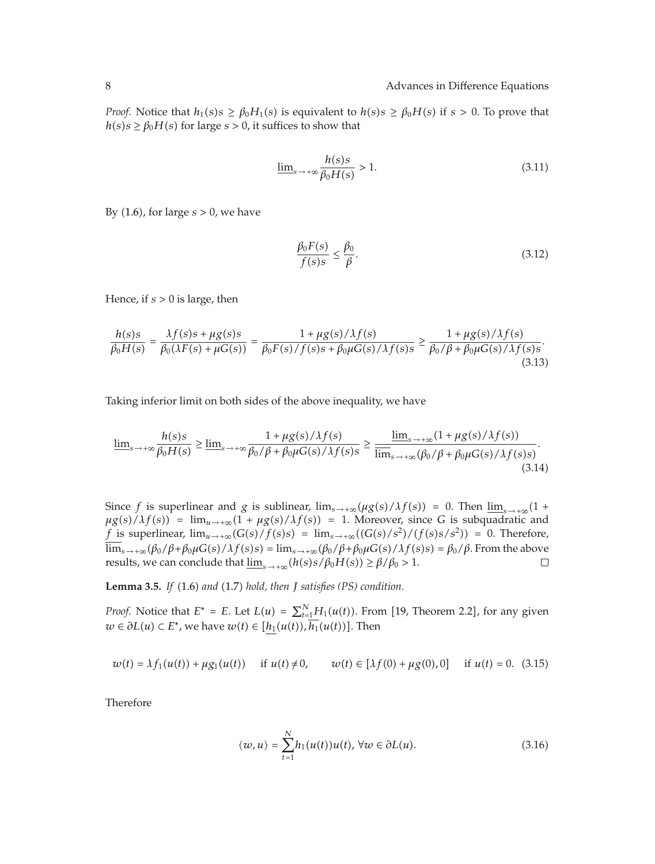*Proof.* Notice that  $h_1(s) s \geq \beta_0 H_1(s)$  is equivalent to  $h(s) s \geq \beta_0 H(s)$  if  $s > 0$ . To prove that  $h(s)s \ge \beta_0 H(s)$  for large  $s > 0$ , it suffices to show that

$$
\underline{\lim}_{s \to +\infty} \frac{h(s)s}{\beta_0 H(s)} > 1.
$$
\n(3.11)

By 1.6, for large *s >* 0, we have

$$
\frac{\beta_0 F(s)}{f(s)s} \le \frac{\beta_0}{\beta}.\tag{3.12}
$$

Hence, if *s >* 0 is large, then

$$
\frac{h(s)s}{\beta_0 H(s)} = \frac{\lambda f(s)s + \mu g(s)s}{\beta_0(\lambda F(s) + \mu G(s))} = \frac{1 + \mu g(s)/\lambda f(s)}{\beta_0 F(s)/f(s)s + \beta_0 \mu G(s)/\lambda f(s)s} \ge \frac{1 + \mu g(s)/\lambda f(s)}{\beta_0/\beta + \beta_0 \mu G(s)/\lambda f(s)s}.
$$
\n(3.13)

Taking inferior limit on both sides of the above inequality, we have

$$
\underline{\lim}_{s \to +\infty} \frac{h(s)s}{\beta_0 H(s)} \ge \underline{\lim}_{s \to +\infty} \frac{1 + \mu g(s)/\lambda f(s)}{\beta_0/\beta + \beta_0 \mu G(s)/\lambda f(s)s} \ge \frac{\underline{\lim}_{s \to +\infty} (1 + \mu g(s)/\lambda f(s))}{\overline{\lim}_{s \to +\infty} (\beta_0/\beta + \beta_0 \mu G(s)/\lambda f(s)s)}.
$$
\n(3.14)

Since *f* is superlinear and *g* is sublinear,  $\lim_{s\to+\infty} (\mu g(s)/\lambda f(s)) = 0$ . Then  $\lim_{s\to+\infty} (1 +$  $\mu g(s)/\lambda f(s)$  =  $\lim_{u \to +\infty}$   $(1 + \mu g(s)/\lambda f(s)) = 1$ . Moreover, since *G* is subquadratic and *f* is superlinear,  $\lim_{u \to +\infty}$   $(G(s)/f(s)s) = \lim_{s \to +\infty}$   $((G(s)/s^2)/(f(s)s/s^2)) = 0$ . Therefore, lim<sub>s→+∞</sub>(β<sub>0</sub>/β<sup>+</sup>β<sub>0</sub>μG(s)/λf(s)s) = lim<sub>s→+∞</sub>(β<sub>0</sub>/β<sup>+</sup>β<sub>0</sub>μG(s)/λf(s)s) = β<sub>0</sub>/β. From the above results, we can conclude that lim<sub>s blac</sub>(h(s)s/β<sub>0</sub>H(s)) ≥ β/β<sub>0</sub> > 1. results, we can conclude that  $\underline{\lim}_{s \to +\infty} (h(s)s/\beta_0 H(s)) \ge \beta/\beta_0 > 1$ .

**Lemma 3.5.** *If* 1.6 *and* 1.7 *hold, then J satisfies (PS) condition.*

*Proof.* Notice that  $E^* = E$ . Let  $L(u) = \sum_{t=1}^{N} H_1(u(t))$ . From [19, Theorem 2.2], for any given *w* ∈  $\partial L(u)$  ⊂ *E*<sup>∗</sup>, we have  $w(t)$  ∈  $[\underline{h_1}(u(t)), h_1(u(t))]$ . Then

$$
w(t) = \lambda f_1(u(t)) + \mu g_1(u(t)) \quad \text{if } u(t) \neq 0, \qquad w(t) \in [\lambda f(0) + \mu g(0), 0] \quad \text{if } u(t) = 0. \tag{3.15}
$$

Therefore

$$
\langle w, u \rangle = \sum_{t=1}^{N} h_1(u(t))u(t), \,\forall w \in \partial L(u). \tag{3.16}
$$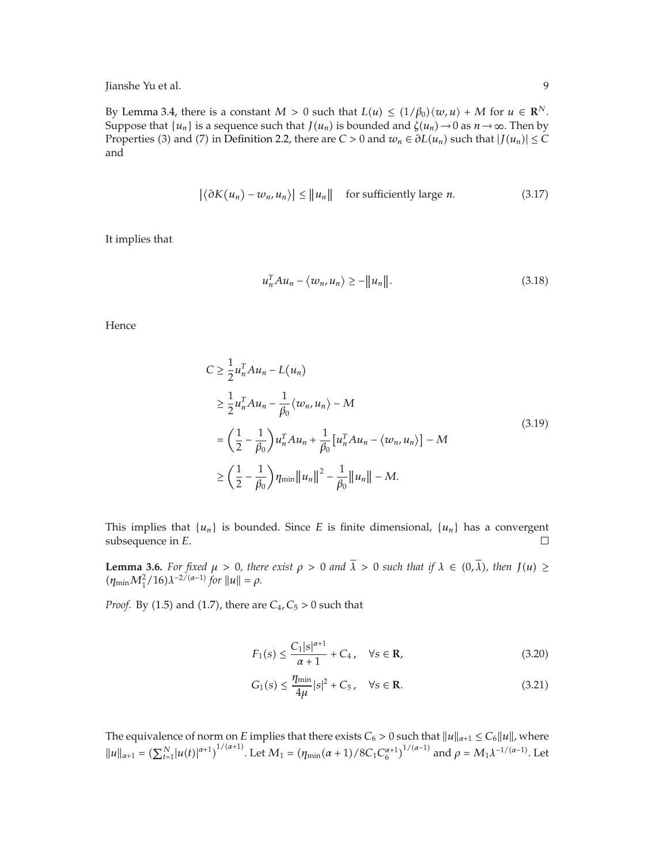By Lemma 3.4, there is a constant  $M > 0$  such that  $L(u) \leq (1/\beta_0) \langle w, u \rangle + M$  for  $u \in \mathbb{R}^N$ . Suppose that  $\{u_n\}$  is a sequence such that  $J(u_n)$  is bounded and  $\zeta(u_n) \to 0$  as  $n \to \infty$ . Then by Properties (3) and (7) in Definition 2.2, there are  $C > 0$  and  $w_n \in \partial L(u_n)$  such that  $|J(u_n)| \leq C$ and

$$
\left| \langle \partial K(u_n) - w_n, u_n \rangle \right| \le ||u_n|| \quad \text{for sufficiently large } n. \tag{3.17}
$$

It implies that

$$
u_n^T A u_n - \langle w_n, u_n \rangle \ge -||u_n||. \tag{3.18}
$$

Hence

$$
C \ge \frac{1}{2} u_n^T A u_n - L(u_n)
$$
  
\n
$$
\ge \frac{1}{2} u_n^T A u_n - \frac{1}{\beta_0} \langle w_n, u_n \rangle - M
$$
  
\n
$$
= \left(\frac{1}{2} - \frac{1}{\beta_0}\right) u_n^T A u_n + \frac{1}{\beta_0} \left[u_n^T A u_n - \langle w_n, u_n \rangle\right] - M
$$
  
\n
$$
\ge \left(\frac{1}{2} - \frac{1}{\beta_0}\right) \eta_{\min} ||u_n||^2 - \frac{1}{\beta_0} ||u_n|| - M.
$$
\n(3.19)

This implies that  $\{u_n\}$  is bounded. Since *E* is finite dimensional,  $\{u_n\}$  has a convergent subsequence in *E*. subsequence in *E*.

**Lemma 3.6.** For fixed  $\mu > 0$ , there exist  $\rho > 0$  and  $\lambda > 0$  such that if  $\lambda \in (0, \lambda)$ , then  $J(u) \ge$  $(\eta_{\min} M_1^2 / 16) \lambda^{-2/(\alpha-1)}$  for  $||u|| = \rho$ .

*Proof.* By (1.5) and (1.7), there are  $C_4$ ,  $C_5 > 0$  such that

$$
F_1(s) \le \frac{C_1|s|^{\alpha+1}}{\alpha+1} + C_4, \quad \forall s \in \mathbf{R},
$$
\n(3.20)

$$
G_1(s) \le \frac{\eta_{\min}}{4\mu} |s|^2 + C_5, \quad \forall s \in \mathbf{R}.\tag{3.21}
$$

The equivalence of norm on *E* implies that there exists  $C_6 > 0$  such that  $||u||_{\alpha+1} \leq C_6 ||u||$ , where  $||u||_{\alpha+1} = \left(\sum_{t=1}^{N} |u(t)|^{\alpha+1}\right)^{1/(\alpha+1)}$ . Let  $M_1 = \left(\eta_{\min}(\alpha+1)/8C_1C_6^{\alpha+1}\right)^{1/(\alpha-1)}$  and  $\rho = M_1 \lambda^{-1/(\alpha-1)}$ . Let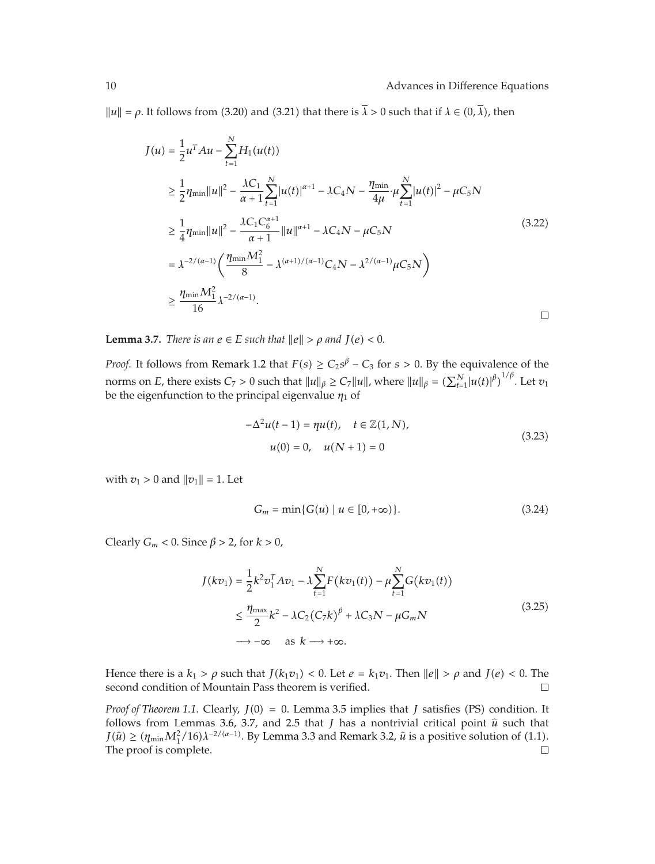### 10 **Advances in Difference Equations**

 $||u|| = \rho$ . It follows from (3.20) and (3.21) that there is  $\overline{\lambda} > 0$  such that if  $\lambda \in (0, \overline{\lambda})$ , then

$$
J(u) = \frac{1}{2}u^{T}Au - \sum_{t=1}^{N}H_{1}(u(t))
$$
  
\n
$$
\geq \frac{1}{2}\eta_{\min}||u||^{2} - \frac{\lambda C_{1}}{\alpha+1}\sum_{t=1}^{N}|u(t)|^{\alpha+1} - \lambda C_{4}N - \frac{\eta_{\min}}{4\mu}\cdot\mu\sum_{t=1}^{N}|u(t)|^{2} - \mu C_{5}N
$$
  
\n
$$
\geq \frac{1}{4}\eta_{\min}||u||^{2} - \frac{\lambda C_{1}C_{6}^{\alpha+1}}{\alpha+1}||u||^{\alpha+1} - \lambda C_{4}N - \mu C_{5}N
$$
  
\n
$$
= \lambda^{-2/(\alpha-1)}\left(\frac{\eta_{\min}M_{1}^{2}}{8} - \lambda^{(\alpha+1)/(\alpha-1)}C_{4}N - \lambda^{2/(\alpha-1)}\mu C_{5}N\right)
$$
  
\n
$$
\geq \frac{\eta_{\min}M_{1}^{2}}{16}\lambda^{-2/(\alpha-1)}.
$$

**Lemma 3.7.** *There is an*  $e \in E$  *such that*  $||e|| > \rho$  *and*  $J(e) < 0$ *.* 

*Proof.* It follows from Remark 1.2 that  $F(s) \ge C_2 s^{\beta} - C_3$  for  $s > 0$ . By the equivalence of the norms on *E*, there exists  $C_7 > 0$  such that  $||u||_\beta \geq C_7 ||u||$ , where  $||u||_\beta = \left(\sum_{t=1}^N \left|u(t)\right|^\beta\right)^{1/\beta}$ . Let  $v_1$ be the eigenfunction to the principal eigenvalue *η*<sup>1</sup> of

$$
-\Delta^{2}u(t-1) = \eta u(t), \quad t \in \mathbb{Z}(1, N),
$$
  

$$
u(0) = 0, \quad u(N+1) = 0
$$
 (3.23)

with  $v_1 > 0$  and  $||v_1|| = 1$ . Let

$$
G_m = \min\{G(u) \mid u \in [0, +\infty)\}.
$$
 (3.24)

Clearly  $G_m$  < 0. Since  $\beta$  > 2, for  $k > 0$ ,

$$
J(kv_1) = \frac{1}{2}k^2v_1^TAv_1 - \lambda \sum_{t=1}^N F(kv_1(t)) - \mu \sum_{t=1}^N G(kv_1(t))
$$
  

$$
\leq \frac{\eta_{\max}}{2}k^2 - \lambda C_2(C_7k)^{\beta} + \lambda C_3N - \mu G_mN
$$
  

$$
\rightarrow -\infty \quad \text{as } k \longrightarrow +\infty.
$$
 (3.25)

Hence there is a *k*<sub>1</sub> *>*  $\rho$  such that *J*(*k*<sub>1</sub>*v*<sub>1</sub>) < 0. Let *e* = *k*<sub>1</sub>*v*<sub>1</sub>. Then  $||e|| > \rho$  and *J*(*e*) < 0. The second condition of Mountain Pass theorem is verified. second condition of Mountain Pass theorem is verified.

*Proof of Theorem 1.1.* Clearly,  $J(0) = 0$ . Lemma 3.5 implies that *J* satisfies (PS) condition. It follows from Lemmas 3.6, 3.7, and 2.5 that  $J$  has a nontrivial critical point  $\hat{u}$  such that  $J(\hat{u}) \ge (\eta_{\min} M_1^2/16) \lambda^{-2/(\alpha-1)}$ . By Lemma 3.3 and Remark 3.2,  $\hat{u}$  is a positive solution of (1.1).<br>The proof is complete The proof is complete.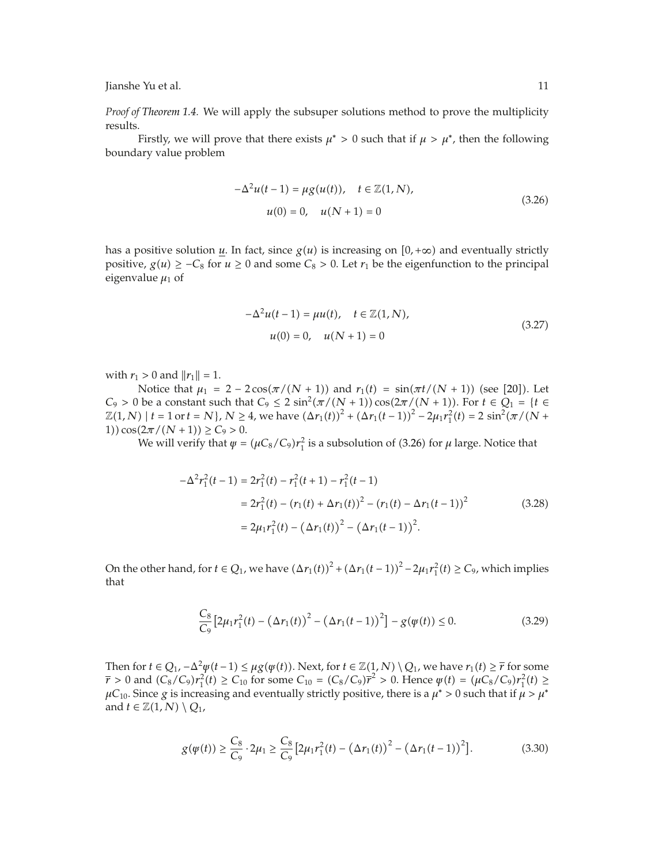*Proof of Theorem 1.4.* We will apply the subsuper solutions method to prove the multiplicity results.

Firstly, we will prove that there exists  $\mu^* > 0$  such that if  $\mu > \mu^*$ , then the following boundary value problem

$$
-\Delta^{2}u(t-1) = \mu g(u(t)), \quad t \in \mathbb{Z}(1, N),
$$
  
\n
$$
u(0) = 0, \quad u(N+1) = 0
$$
\n(3.26)

has a positive solution *u*. In fact, since  $g(u)$  is increasing on  $[0, +\infty)$  and eventually strictly positive,  $g(u)$  ≥ −*C*<sub>8</sub> for  $u$  ≥ 0 and some *C*<sub>8</sub> > 0. Let  $r_1$  be the eigenfunction to the principal eigenvalue  $\mu_1$  of

$$
-\Delta^{2}u(t-1) = \mu u(t), \quad t \in \mathbb{Z}(1, N),
$$
  

$$
u(0) = 0, \quad u(N+1) = 0
$$
 (3.27)

with  $r_1 > 0$  and  $||r_1|| = 1$ .

Notice that  $\mu_1 = 2 - 2\cos(\pi/(N+1))$  and  $r_1(t) = \sin(\pi t/(N+1))$  (see [20]). Let *C*<sub>9</sub> > 0 be a constant such that *C*<sub>9</sub> ≤ 2 sin<sup>2</sup>( $π/(N+1)$ ) cos( $2π/(N+1)$ ). For  $t \in Q_1 = {t \in \mathbb{R}^N}$  $\mathbb{Z}(1,N)$  |  $t = 1$  or  $t = N$ },  $N \ge 4$ , we have  $(\Delta r_1(t))^2 + (\Delta r_1(t-1))^2 - 2\mu_1 r_1^2(t) = 2 \sin^2(\pi/(N+1))$ 1))  $\cos(2\pi/(N+1)) \ge C_9 > 0$ .

We will verify that  $\psi = (\mu C_8/C_9) r_1^2$  is a subsolution of (3.26) for  $\mu$  large. Notice that

$$
-\Delta^{2} r_{1}^{2}(t-1) = 2r_{1}^{2}(t) - r_{1}^{2}(t+1) - r_{1}^{2}(t-1)
$$
  

$$
= 2r_{1}^{2}(t) - (r_{1}(t) + \Delta r_{1}(t))^{2} - (r_{1}(t) - \Delta r_{1}(t-1))^{2}
$$
  

$$
= 2\mu_{1}r_{1}^{2}(t) - (\Delta r_{1}(t))^{2} - (\Delta r_{1}(t-1))^{2}.
$$
 (3.28)

On the other hand, for  $t \in Q_1$ , we have  $(\Delta r_1(t))^2 + (\Delta r_1(t-1))^2 - 2\mu_1 r_1^2(t) \ge C_9$ , which implies that

$$
\frac{C_8}{C_9} \left[ 2\mu_1 r_1^2(t) - \left( \Delta r_1(t) \right)^2 - \left( \Delta r_1(t-1) \right)^2 \right] - g(\psi(t)) \le 0. \tag{3.29}
$$

Then for  $t \in Q_1$ ,  $-\Delta^2 \psi(t-1) \leq \mu g(\psi(t))$ . Next, for  $t \in \mathbb{Z}(1,N) \setminus Q_1$ , we have  $r_1(t) \geq \overline{r}$  for some  $\bar{r}$  > 0 and  $(C_8/C_9)r_1^2(t) \ge C_{10}$  for some  $C_{10} = (C_8/C_9)\bar{r}^2 > 0$ . Hence  $\psi(t) = (\mu C_8/C_9)r_1^2(t) \ge C_{10}$  $\mu$ C<sub>10</sub>. Since *g* is increasing and eventually strictly positive, there is a  $\mu^* > 0$  such that if  $\mu > \mu^*$ and *t*  $\in \mathbb{Z}(1,N) \setminus Q_1$ ,

$$
g(\psi(t)) \ge \frac{C_8}{C_9} \cdot 2\mu_1 \ge \frac{C_8}{C_9} \left[ 2\mu_1 r_1^2(t) - \left( \Delta r_1(t) \right)^2 - \left( \Delta r_1(t-1) \right)^2 \right]. \tag{3.30}
$$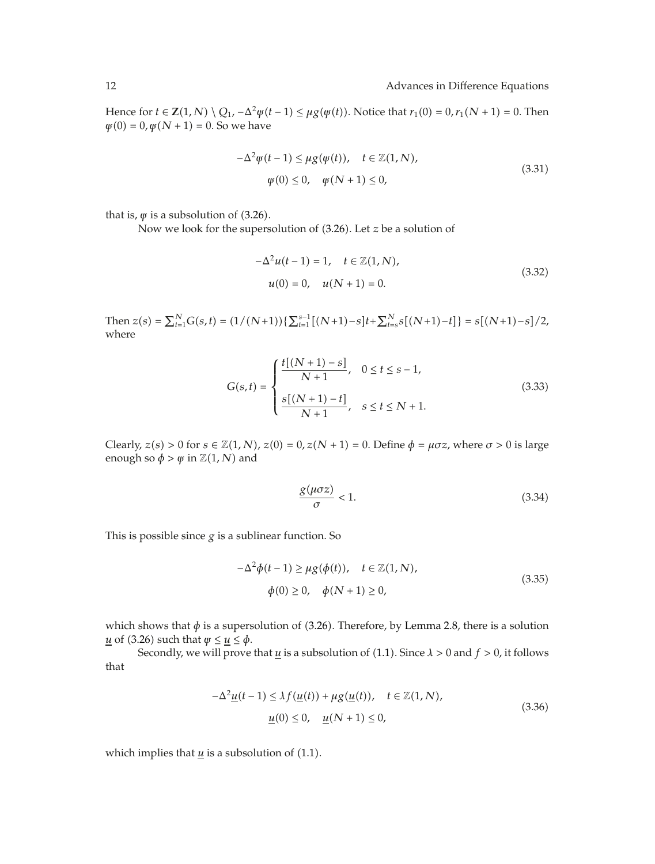Hence for *t* ∈ **Z**(1, *N*)  $\setminus Q_1$ ,  $-\Delta^2 \psi(t-1) \leq \mu g(\psi(t))$ . Notice that  $r_1(0) = 0$ ,  $r_1(N + 1) = 0$ . Then  $\psi(0) = 0, \psi(N + 1) = 0$ . So we have

$$
-\Delta^{2}\psi(t-1) \leq \mu g(\psi(t)), \quad t \in \mathbb{Z}(1, N),
$$
  
  $\psi(0) \leq 0, \quad \psi(N+1) \leq 0,$  (3.31)

that is,  $\psi$  is a subsolution of (3.26).

Now we look for the supersolution of (3.26). Let *z* be a solution of

$$
-\Delta^{2}u(t-1) = 1, \quad t \in \mathbb{Z}(1, N),
$$
  

$$
u(0) = 0, \quad u(N+1) = 0.
$$
 (3.32)

Then  $z(s) = \sum_{t=1}^{N} G(s,t) = (1/(N+1))\left\{\sum_{t=1}^{s-1} [(N+1)-s]t + \sum_{t=s}^{N} s[(N+1)-t]\right\} = s[(N+1)-s]/2$ where

$$
G(s,t) = \begin{cases} \frac{t[(N+1)-s]}{N+1}, & 0 \le t \le s-1, \\ \frac{s[(N+1)-t]}{N+1}, & s \le t \le N+1. \end{cases}
$$
(3.33)

Clearly,  $z(s) > 0$  for  $s \in \mathbb{Z}(1, N)$ ,  $z(0) = 0$ ,  $z(N + 1) = 0$ . Define  $\phi = \mu \sigma z$ , where  $\sigma > 0$  is large enough so  $\phi > \psi$  in  $\mathbb{Z}(1, N)$  and

$$
\frac{g(\mu\sigma z)}{\sigma} < 1. \tag{3.34}
$$

This is possible since  $g$  is a sublinear function. So

$$
-\Delta^{2}\phi(t-1) \ge \mu g(\phi(t)), \quad t \in \mathbb{Z}(1, N),
$$
  

$$
\phi(0) \ge 0, \quad \phi(N+1) \ge 0,
$$
 (3.35)

which shows that  $\phi$  is a supersolution of (3.26). Therefore, by Lemma 2.8, there is a solution *u* of (3.26) such that  $\psi \leq \mu \leq \phi$ .

Secondly, we will prove that  $u$  is a subsolution of (1.1). Since  $\lambda > 0$  and  $f > 0$ , it follows that

$$
-\Delta^{2} \underline{u}(t-1) \leq \lambda f(\underline{u}(t)) + \mu g(\underline{u}(t)), \quad t \in \mathbb{Z}(1, N),
$$
  

$$
\underline{u}(0) \leq 0, \quad \underline{u}(N+1) \leq 0,
$$
 (3.36)

which implies that  $u$  is a subsolution of  $(1.1)$ .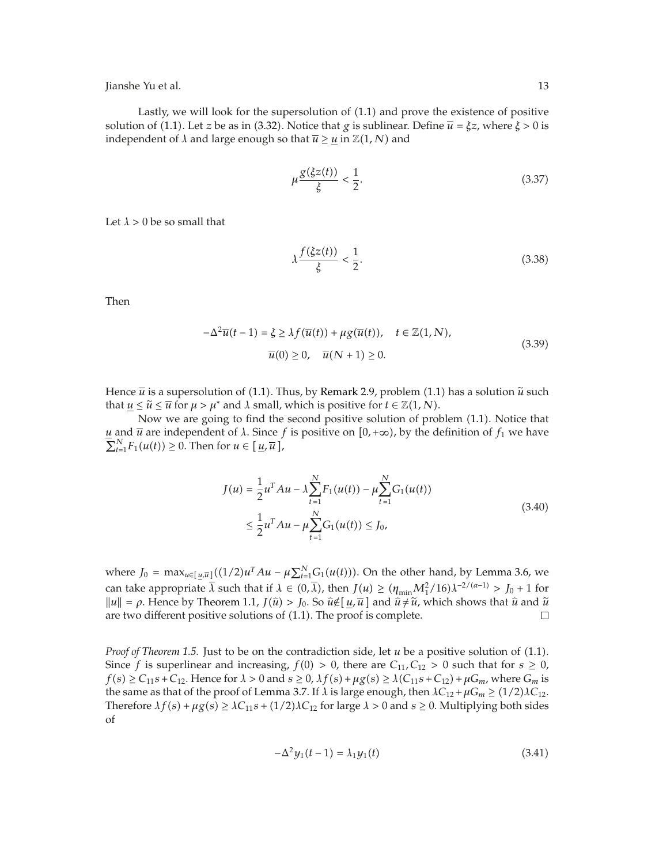Lastly, we will look for the supersolution of  $(1.1)$  and prove the existence of positive solution of (1.1). Let *z* be as in (3.32). Notice that *g* is sublinear. Define  $\overline{u} = \xi z$ , where  $\xi > 0$  is independent of  $\lambda$  and large enough so that  $\overline{u} \ge u$  in  $\mathbb{Z}(1, N)$  and

$$
\mu \frac{g(\xi z(t))}{\xi} < \frac{1}{2}.\tag{3.37}
$$

Let  $\lambda > 0$  be so small that

$$
\lambda \frac{f(\xi z(t))}{\xi} < \frac{1}{2}.\tag{3.38}
$$

Then

$$
-\Delta^2 \overline{u}(t-1) = \xi \ge \lambda f(\overline{u}(t)) + \mu g(\overline{u}(t)), \quad t \in \mathbb{Z}(1, N),
$$
  

$$
\overline{u}(0) \ge 0, \quad \overline{u}(N+1) \ge 0.
$$
 (3.39)

Hence  $\bar{u}$  is a supersolution of (1.1). Thus, by Remark 2.9, problem (1.1) has a solution  $\tilde{u}$  such that  $u \leq \tilde{u} \leq \overline{u}$  for  $\mu > \mu^*$  and  $\lambda$  small, which is positive for  $t \in \mathbb{Z}(1, N)$ .

Now we are going to find the second positive solution of problem  $(1.1)$ . Notice that *u* and *u* are independent of *λ*. Since *f* is positive on [0, +∞), by the definition of  $f_1$  we have  $\sum_{t=1}^{N} F_1(u(t)) \geq 0$ . Then for  $u \in [\underline{u}, \overline{u}],$ 

$$
J(u) = \frac{1}{2}u^{T}Au - \lambda \sum_{t=1}^{N} F_{1}(u(t)) - \mu \sum_{t=1}^{N} G_{1}(u(t))
$$
  
 
$$
\leq \frac{1}{2}u^{T}Au - \mu \sum_{t=1}^{N} G_{1}(u(t)) \leq J_{0},
$$
 (3.40)

where  $J_0 = \max_{u \in [\underline{u}, \overline{u}]} ((1/2)u^T A u - \mu \sum_{t=1}^N G_1(u(t)))$ . On the other hand, by Lemma 3.6, we can take appropriate  $\overline{\lambda}$  such that if  $\lambda \in (0, \overline{\lambda})$ , then  $J(u) \ge (\eta_{\min} M_1^2/16)\lambda^{-2/(\alpha-1)} > J_0 + 1$  for  $||u|| = \rho$ . Hence by Theorem 1.1,  $J(\hat{u}) > J_0$ . So  $\hat{u} \notin [\underline{u}, \overline{u}]$  and  $\hat{u} \neq \tilde{u}$ , which shows that  $\hat{u}$  and  $\tilde{u}$ <br>are two different positive solutions of (1.1). The proof is complete are two different positive solutions of  $(1.1)$ . The proof is complete.

*Proof of Theorem 1.5.* Just to be on the contradiction side, let *u* be a positive solution of (1.1). Since *f* is superlinear and increasing,  $f(0) > 0$ , there are  $C_{11}$ ,  $C_{12} > 0$  such that for  $s \ge 0$ ,  $f(s) \ge C_{11}s + C_{12}$ . Hence for  $\lambda > 0$  and  $s \ge 0$ ,  $\lambda f(s) + \mu g(s) \ge \lambda (C_{11}s + C_{12}) + \mu G_m$ , where  $G_m$  is the same as that of the proof of Lemma 3.7. If  $\lambda$  is large enough, then  $\lambda C_{12} + \mu G_m \ge (1/2)\lambda C_{12}$ . Therefore  $\lambda f(s) + \mu g(s) \geq \lambda C_{11} s + (1/2)\lambda C_{12}$  for large  $\lambda > 0$  and  $s \geq 0$ . Multiplying both sides of

$$
-\Delta^2 y_1(t-1) = \lambda_1 y_1(t) \tag{3.41}
$$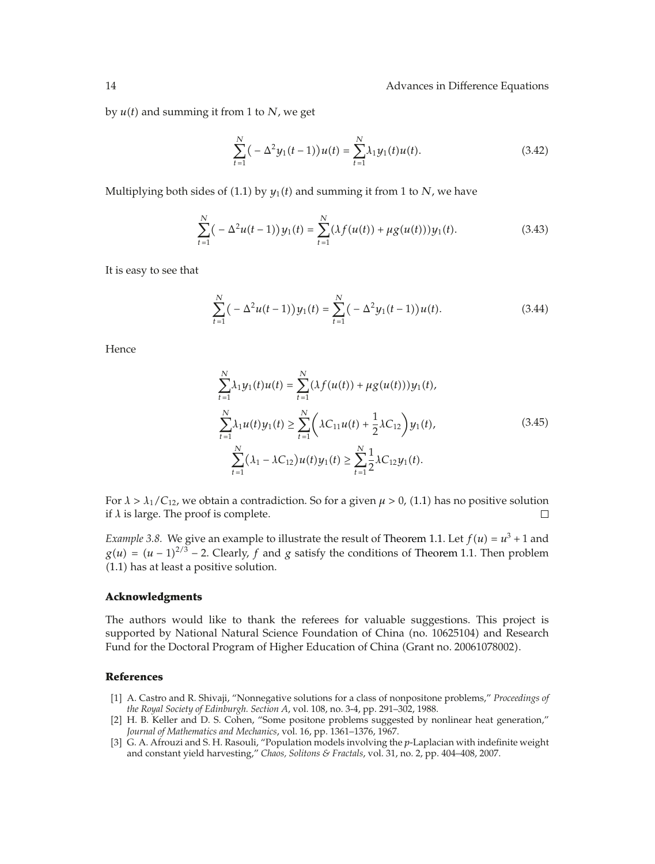#### 14 Advances in Difference Equations

by  $u(t)$  and summing it from 1 to *N*, we get

$$
\sum_{t=1}^{N} \left( -\Delta^2 y_1(t-1) \right) u(t) = \sum_{t=1}^{N} \lambda_1 y_1(t) u(t).
$$
 (3.42)

Multiplying both sides of (1.1) by  $y_1(t)$  and summing it from 1 to *N*, we have

$$
\sum_{t=1}^{N} \big( -\Delta^2 u(t-1) \big) y_1(t) = \sum_{t=1}^{N} \big( \lambda f(u(t)) + \mu g(u(t)) \big) y_1(t). \tag{3.43}
$$

It is easy to see that

$$
\sum_{t=1}^{N} \left( -\Delta^2 u(t-1) \right) y_1(t) = \sum_{t=1}^{N} \left( -\Delta^2 y_1(t-1) \right) u(t).
$$
 (3.44)

Hence

$$
\sum_{t=1}^{N} \lambda_1 y_1(t) u(t) = \sum_{t=1}^{N} (\lambda f(u(t)) + \mu g(u(t))) y_1(t),
$$
\n
$$
\sum_{t=1}^{N} \lambda_1 u(t) y_1(t) \ge \sum_{t=1}^{N} (\lambda C_{11} u(t) + \frac{1}{2} \lambda C_{12}) y_1(t),
$$
\n
$$
\sum_{t=1}^{N} (\lambda_1 - \lambda C_{12}) u(t) y_1(t) \ge \sum_{t=1}^{N} \frac{1}{2} \lambda C_{12} y_1(t).
$$
\n(3.45)

For  $\lambda > \lambda_1/C_{12}$ , we obtain a contradiction. So for a given  $\mu > 0$ , (1.1) has no positive solution if  $\lambda$  is large. The proof is complete.  $\Box$ 

*Example 3.8.* We give an example to illustrate the result of Theorem 1.1. Let  $f(u) = u^3 + 1$  and  $g(u) = (u-1)^{2/3} - 2$ . Clearly, *f* and *g* satisfy the conditions of Theorem 1.1. Then problem 1.1 has at least a positive solution.

#### **Acknowledgments**

The authors would like to thank the referees for valuable suggestions. This project is supported by National Natural Science Foundation of China (no. 10625104) and Research Fund for the Doctoral Program of Higher Education of China Grant no. 20061078002.

# **References**

- 1 A. Castro and R. Shivaji, "Nonnegative solutions for a class of nonpositone problems," *Proceedings of the Royal Society of Edinburgh. Section A*, vol. 108, no. 3-4, pp. 291–302, 1988.
- [2] H. B. Keller and D. S. Cohen, "Some positone problems suggested by nonlinear heat generation," *Journal of Mathematics and Mechanics*, vol. 16, pp. 1361–1376, 1967.
- 3 G. A. Afrouzi and S. H. Rasouli, "Population models involving the *p*-Laplacian with indefinite weight and constant yield harvesting," *Chaos, Solitons & Fractals*, vol. 31, no. 2, pp. 404–408, 2007.